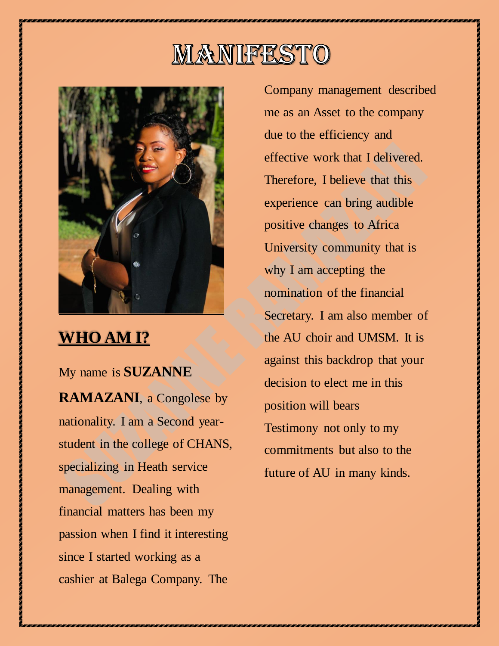# MANIFESTO



### **WHO AM I?**

My name is **SUZANNE RAMAZANI**, a Congolese by nationality. I am a Second yearstudent in the college of CHANS, specializing in Heath service management. Dealing with financial matters has been my passion when I find it interesting since I started working as a cashier at Balega Company. The

Company management described me as an Asset to the company due to the efficiency and effective work that I delivered. Therefore, I believe that this experience can bring audible positive changes to Africa University community that is why I am accepting the nomination of the financial Secretary. I am also member of the AU choir and UMSM. It is against this backdrop that your decision to elect me in this position will bears Testimony not only to my commitments but also to the future of AU in many kinds.